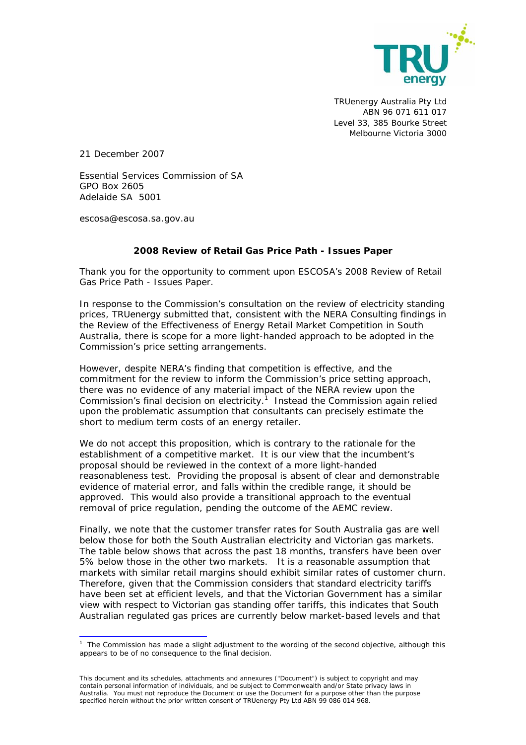

TRUenergy Australia Pty Ltd ABN 96 071 611 017 Level 33, 385 Bourke Street Melbourne Victoria 3000

21 December 2007

Essential Services Commission of SA GPO Box 2605 Adelaide SA 5001

escosa@escosa.sa.gov.au

## **2008 Review of Retail Gas Price Path - Issues Paper**

Thank you for the opportunity to comment upon ESCOSA's *2008 Review of Retail Gas Price Path - Issues Paper.*

In response to the Commission's consultation on the review of electricity standing prices, TRUenergy submitted that, consistent with the NERA Consulting findings in the *Review of the Effectiveness of Energy Retail Market Competition in South Australia*, there is scope for a more light-handed approach to be adopted in the Commission's price setting arrangements.

However, despite NERA's finding that competition is effective, and the commitment for the review to inform the Commission's price setting approach, there was no evidence of any material impact of the NERA review upon the Commission's final decision on electricity. $1$  Instead the Commission again relied upon the problematic assumption that consultants can precisely estimate the short to medium term costs of an energy retailer.

We do not accept this proposition, which is contrary to the rationale for the establishment of a competitive market. It is our view that the incumbent's proposal should be reviewed in the context of a more light-handed reasonableness test. Providing the proposal is absent of clear and demonstrable evidence of material error, and falls within the credible range, it should be approved. This would also provide a transitional approach to the eventual removal of price regulation, pending the outcome of the AEMC review.

Finally, we note that the customer transfer rates for South Australia gas are well below those for both the South Australian electricity and Victorian gas markets. The table below shows that across the past 18 months, transfers have been over 5% below those in the other two markets. It is a reasonable assumption that markets with similar retail margins should exhibit similar rates of customer churn. Therefore, given that the Commission considers that standard electricity tariffs have been set at efficient levels, and that the Victorian Government has a similar view with respect to Victorian gas standing offer tariffs, this indicates that South Australian regulated gas prices are currently below market-based levels and that

**The Commission has made a slight adjustment to the wording of the second objective, although this <sup>1</sup> The Commission has made a slight adjustment to the wording of the second objective, although this** appears to be of no consequence to the final decision.

This document and its schedules, attachments and annexures ("Document") is subject to copyright and may contain personal information of individuals, and be subject to Commonwealth and/or State privacy laws in Australia. You must not reproduce the Document or use the Document for a purpose other than the purpose specified herein without the prior written consent of TRUenergy Pty Ltd ABN 99 086 014 968.